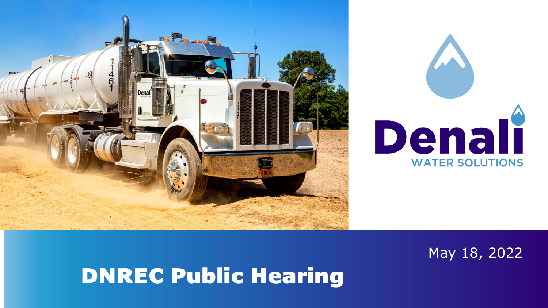



May 18, 2022

### DNREC Public Hearing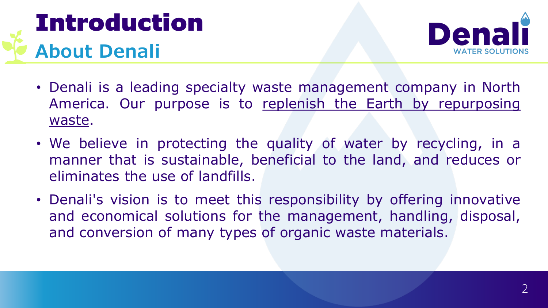



- Denali is a leading specialty waste management company in North America. Our purpose is to replenish the Earth by repurposing waste.
- We believe in protecting the quality of water by recycling, in a manner that is sustainable, beneficial to the land, and reduces or eliminates the use of landfills.
- Denali's vision is to meet this responsibility by offering innovative and economical solutions for the management, handling, disposal, and conversion of many types of organic waste materials.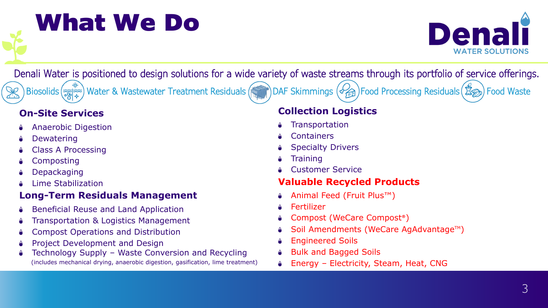### What We Do



Denali Water is positioned to design solutions for a wide variety of waste streams through its portfolio of service offerings.

Biosolids ( $\frac{1}{\sqrt{2}}$ ) Water & Wastewater Treatment Residuals (DAF Skimmings ( $\frac{1}{\sqrt{2}}$ ) Food Processing Residuals ( $\frac{1}{\sqrt{2}}$ ) Food Waste

#### **On-Site Services**

- Anaerobic Digestion
- Dewatering
- Class A Processing
- **Composting**
- **Depackaging**
- Lime Stabilization

#### **Long-Term Residuals Management**

- Beneficial Reuse and Land Application
- Transportation & Logistics Management
- Compost Operations and Distribution
- Project Development and Design
- Technology Supply Waste Conversion and Recycling (includes mechanical drying, anaerobic digestion, gasification, lime treatment)

#### **Collection Logistics**

- **Transportation**
- **Containers**
- Specialty Drivers
- **Training**
- Customer Service

#### **Valuable Recycled Products**

- Animal Feed (Fruit Plus™)
- Fertilizer
- Compost (WeCare Compost®)
- Soil Amendments (WeCare AgAdvantage™)
- Engineered Soils
- Bulk and Bagged Soils
- Energy Electricity, Steam, Heat, CNG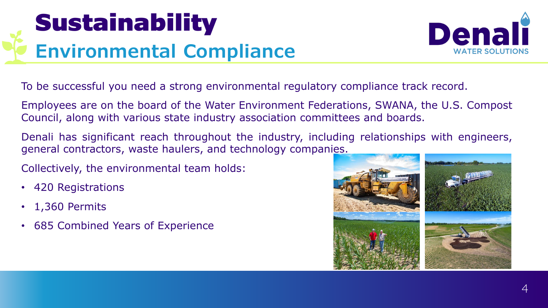## Sustainability **Environmental Compliance**



To be successful you need a strong environmental regulatory compliance track record.

Employees are on the board of the Water Environment Federations, SWANA, the U.S. Compost Council, along with various state industry association committees and boards.

Denali has significant reach throughout the industry, including relationships with engineers, general contractors, waste haulers, and technology companies.

Collectively, the environmental team holds:

- 420 Registrations
- 1,360 Permits
- 685 Combined Years of Experience

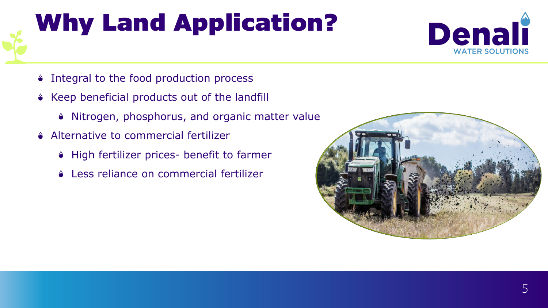# Why Land Application?



- $\bullet$  Integral to the food production process
- Keep beneficial products out of the landfill
	- Nitrogen, phosphorus, and organic matter value
- Alternative to commercial fertilizer
	- High fertilizer prices- benefit to farmer
	- Less reliance on commercial fertilizer

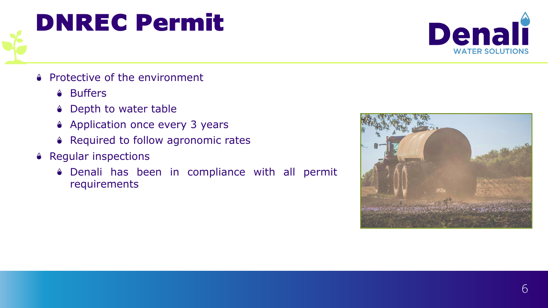## DNREC Permit



- Protective of the environment
	- **♦** Buffers
	- Depth to water table
	- Application once every 3 years
	- Required to follow agronomic rates
- Regular inspections
	- Denali has been in compliance with all permit requirements